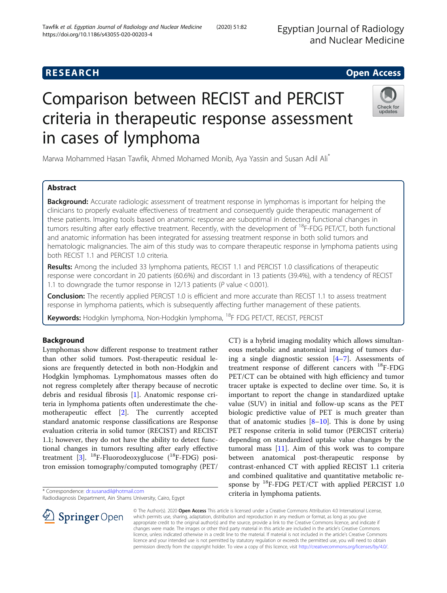Egyptian Journal of Radiology and Nuclear Medicine

# **RESEARCH CHE Open Access**

# Comparison between RECIST and PERCIST criteria in therapeutic response assessment in cases of lymphoma



Marwa Mohammed Hasan Tawfik, Ahmed Mohamed Monib, Aya Yassin and Susan Adil Ali\*

# Abstract

**Background:** Accurate radiologic assessment of treatment response in lymphomas is important for helping the clinicians to properly evaluate effectiveness of treatment and consequently guide therapeutic management of these patients. Imaging tools based on anatomic response are suboptimal in detecting functional changes in tumors resulting after early effective treatment. Recently, with the development of <sup>18</sup>F-FDG PET/CT, both functional and anatomic information has been integrated for assessing treatment response in both solid tumors and hematologic malignancies. The aim of this study was to compare therapeutic response in lymphoma patients using both RECIST 1.1 and PERCIST 1.0 criteria.

Results: Among the included 33 lymphoma patients, RECIST 1.1 and PERCIST 1.0 classifications of therapeutic response were concordant in 20 patients (60.6%) and discordant in 13 patients (39.4%), with a tendency of RECIST 1.1 to downgrade the tumor response in 12/13 patients ( $P$  value < 0.001).

**Conclusion:** The recently applied PERCIST 1.0 is efficient and more accurate than RECIST 1.1 to assess treatment response in lymphoma patients, which is subsequently affecting further management of these patients.

Keywords: Hodgkin lymphoma, Non-Hodgkin lymphoma, 18F FDG PET/CT, RECIST, PERCIST

# Background

Lymphomas show different response to treatment rather than other solid tumors. Post-therapeutic residual lesions are frequently detected in both non-Hodgkin and Hodgkin lymphomas. Lymphomatous masses often do not regress completely after therapy because of necrotic debris and residual fibrosis [[1\]](#page-8-0). Anatomic response criteria in lymphoma patients often underestimate the chemotherapeutic effect [\[2](#page-8-0)]. The currently accepted standard anatomic response classifications are Response evaluation criteria in solid tumor (RECIST) and RECIST 1.1; however, they do not have the ability to detect functional changes in tumors resulting after early effective treatment [\[3](#page-8-0)].  $^{18}$ F-Fluorodeoxyglucose ( $^{18}$ F-FDG) positron emission tomography/computed tomography (PET/

\* Correspondence: [dr.susanadil@hotmail.com](mailto:dr.susanadil@hotmail.com)

 $\mathscr{L}$  Springer Open

Radiodiagnosis Department, Ain Shams University, Cairo, Egypt



© The Author(s). 2020 Open Access This article is licensed under a Creative Commons Attribution 4.0 International License, which permits use, sharing, adaptation, distribution and reproduction in any medium or format, as long as you give appropriate credit to the original author(s) and the source, provide a link to the Creative Commons licence, and indicate if changes were made. The images or other third party material in this article are included in the article's Creative Commons licence, unless indicated otherwise in a credit line to the material. If material is not included in the article's Creative Commons licence and your intended use is not permitted by statutory regulation or exceeds the permitted use, you will need to obtain permission directly from the copyright holder. To view a copy of this licence, visit <http://creativecommons.org/licenses/by/4.0/>.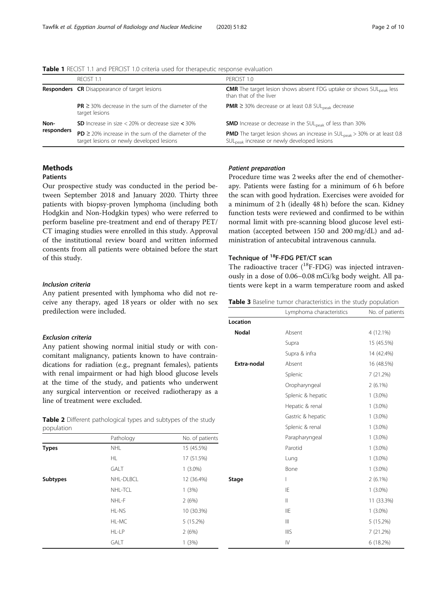<span id="page-1-0"></span>

| <b>Table 1</b> RECIST 1.1 and PERCIST 1.0 criteria used for therapeutic response evaluation |  |  |
|---------------------------------------------------------------------------------------------|--|--|
|---------------------------------------------------------------------------------------------|--|--|

|            | RECIST 1.1                                                                                            | PFRCIST 1.0                                                                                                                                            |  |  |
|------------|-------------------------------------------------------------------------------------------------------|--------------------------------------------------------------------------------------------------------------------------------------------------------|--|--|
|            | <b>Responders</b> CR Disappearance of target lesions                                                  | <b>CMR</b> The target lesion shows absent FDG uptake or shows $SUL_{peak}$ less<br>than that of the liver                                              |  |  |
|            | $PR \geq 30\%$ decrease in the sum of the diameter of the<br>target lesions                           | <b>PMR</b> $\geq$ 30% decrease or at least 0.8 SUL <sub>peak</sub> decrease                                                                            |  |  |
| Non-       | <b>SD</b> Increase in size $<$ 20% or decrease size $<$ 30%                                           | <b>SMD</b> Increase or decrease in the SUL <sub>peak</sub> of less than 30%                                                                            |  |  |
| responders | $PD \ge 20\%$ increase in the sum of the diameter of the<br>target lesions or newly developed lesions | <b>PMD</b> The target lesion shows an increase in $SU_{\text{peak}} > 30\%$ or at least 0.8<br>SUL <sub>peak</sub> increase or newly developed lesions |  |  |

# Methods

# Patients

Our prospective study was conducted in the period between September 2018 and January 2020. Thirty three patients with biopsy-proven lymphoma (including both Hodgkin and Non-Hodgkin types) who were referred to perform baseline pre-treatment and end of therapy PET/ CT imaging studies were enrolled in this study. Approval of the institutional review board and written informed consents from all patients were obtained before the start of this study.

# Inclusion criteria

Any patient presented with lymphoma who did not receive any therapy, aged 18 years or older with no sex predilection were included.

# Exclusion criteria

Any patient showing normal initial study or with concomitant malignancy, patients known to have contraindications for radiation (e.g., pregnant females), patients with renal impairment or had high blood glucose levels at the time of the study, and patients who underwent any surgical intervention or received radiotherapy as a line of treatment were excluded.

| <b>Table 2</b> Different pathological types and subtypes of the study |  |  |  |
|-----------------------------------------------------------------------|--|--|--|
| population                                                            |  |  |  |

|                 | Pathology   | No. of patients |
|-----------------|-------------|-----------------|
| <b>Types</b>    | <b>NHL</b>  | 15 (45.5%)      |
|                 | HL.         | 17 (51.5%)      |
|                 | <b>GALT</b> | $1(3.0\%)$      |
| <b>Subtypes</b> | NHL-DLBCL   | 12 (36.4%)      |
|                 | NHL-TCL     | 1(3%)           |
|                 | NHL-F       | 2(6%)           |
|                 | HL-NS       | 10 (30.3%)      |
|                 | HL-MC       | 5(15.2%)        |
|                 | HL-LP       | 2(6%)           |
|                 | <b>GALT</b> | 1(3%)           |

# Patient preparation

Procedure time was 2 weeks after the end of chemotherapy. Patients were fasting for a minimum of 6 h before the scan with good hydration. Exercises were avoided for a minimum of 2 h (ideally 48 h) before the scan. Kidney function tests were reviewed and confirmed to be within normal limit with pre-scanning blood glucose level estimation (accepted between 150 and 200 mg/dL) and administration of antecubital intravenous cannula.

# Technique of <sup>18</sup>F-FDG PET/CT scan

The radioactive tracer  $(^{18}F-FDG)$  was injected intravenously in a dose of 0.06–0.08 mCi/kg body weight. All patients were kept in a warm temperature room and asked

| Table 3 Baseline tumor characteristics in the study population |  |  |  |
|----------------------------------------------------------------|--|--|--|
|----------------------------------------------------------------|--|--|--|

|              | Lymphoma characteristics | No. of patients |
|--------------|--------------------------|-----------------|
| Location     |                          |                 |
| <b>Nodal</b> | Absent                   | 4 (12.1%)       |
|              | Supra                    | 15 (45.5%)      |
|              | Supra & infra            | 14 (42.4%)      |
| Extra-nodal  | Absent                   | 16 (48.5%)      |
|              | Splenic                  | 7 (21.2%)       |
|              | Oropharyngeal            | $2(6.1\%)$      |
|              | Splenic & hepatic        | $1(3.0\%)$      |
|              | Hepatic & renal          | $1(3.0\%)$      |
|              | Gastric & hepatic        | $1(3.0\%)$      |
|              | Splenic & renal          | $1(3.0\%)$      |
|              | Parapharyngeal           | $1(3.0\%)$      |
|              | Parotid                  | $1(3.0\%)$      |
|              | Lung                     | $1(3.0\%)$      |
|              | Bone                     | $1(3.0\%)$      |
| Stage        | I                        | $2(6.1\%)$      |
|              | IE                       | $1(3.0\%)$      |
|              | $\mathbf{  }$            | 11 (33.3%)      |
|              | <b>IIE</b>               | $1(3.0\%)$      |
|              | $\mathbf{III}$           | 5 (15.2%)       |
|              | <b>IIIS</b>              | 7(21.2%)        |
|              | IV                       | 6 (18.2%)       |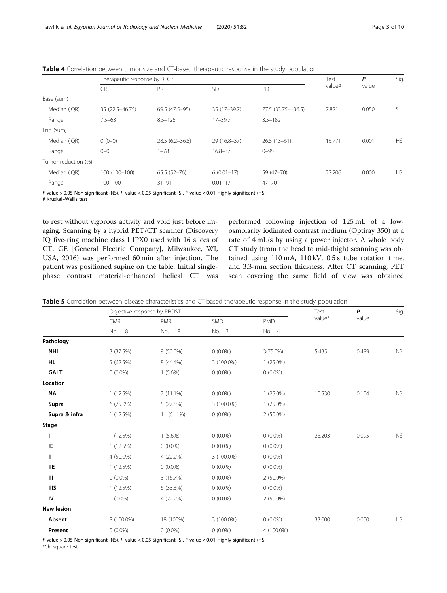|                     | Therapeutic response by RECIST |                    |               |                    | Test   | P     | Sig.      |
|---------------------|--------------------------------|--------------------|---------------|--------------------|--------|-------|-----------|
|                     | <b>CR</b>                      | PR                 | <b>SD</b>     | PD                 | value# | value |           |
| Base (sum)          |                                |                    |               |                    |        |       |           |
| Median (IQR)        | 35 (22.5 - 46.75)              | 69.5 (47.5-95)     | $35(17-39.7)$ | 77.5 (33.75-136.5) | 7.821  | 0.050 | S         |
| Range               | $7.5 - 63$                     | $8.5 - 125$        | $17 - 39.7$   | $3.5 - 182$        |        |       |           |
| End (sum)           |                                |                    |               |                    |        |       |           |
| Median (IQR)        | $0(0-0)$                       | $28.5(6.2 - 36.5)$ | 29 (16.8-37)  | $26.5(13-61)$      | 16.771 | 0.001 | <b>HS</b> |
| Range               | $0 - 0$                        | $1 - 78$           | $16.8 - 37$   | $0 - 95$           |        |       |           |
| Tumor reduction (%) |                                |                    |               |                    |        |       |           |
| Median (IQR)        | 100 (100-100)                  | $65.5(52-76)$      | $6(0.01-17)$  | 59 (47-70)         | 22.206 | 0.000 | <b>HS</b> |
| Range               | $100 - 100$                    | $31 - 91$          | $0.01 - 17$   | $47 - 70$          |        |       |           |

<span id="page-2-0"></span>Table 4 Correlation between tumor size and CT-based therapeutic response in the study population

P value > 0.05 Non-significant (NS), P value < 0.05 Significant (S), P value < 0.01 Highly significant (HS)

# Kruskal–Wallis test

to rest without vigorous activity and void just before imaging. Scanning by a hybrid PET/CT scanner (Discovery IQ five-ring machine class I IPX0 used with 16 slices of CT, GE [General Electric Company], Milwaukee, WI, USA, 2016) was performed 60 min after injection. The patient was positioned supine on the table. Initial singlephase contrast material-enhanced helical CT was

performed following injection of 125 mL of a lowosmolarity iodinated contrast medium (Optiray 350) at a rate of 4 mL/s by using a power injector. A whole body CT study (from the head to mid-thigh) scanning was obtained using 110 mA, 110 kV, 0.5 s tube rotation time, and 3.3-mm section thickness. After CT scanning, PET scan covering the same field of view was obtained

| Table 5 Correlation between disease characteristics and CT-based therapeutic response in the study population |  |  |
|---------------------------------------------------------------------------------------------------------------|--|--|
|---------------------------------------------------------------------------------------------------------------|--|--|

|                   | Objective response by RECIST |             |            |             | Test   | P     | Sig.      |
|-------------------|------------------------------|-------------|------------|-------------|--------|-------|-----------|
|                   | CMR                          | <b>PMR</b>  | SMD        | <b>PMD</b>  | value* | value |           |
|                   | $No. = 8$                    | $No. = 18$  | $No. = 3$  | $No. = 4$   |        |       |           |
| Pathology         |                              |             |            |             |        |       |           |
| <b>NHL</b>        | 3 (37.5%)                    | $9(50.0\%)$ | $0(0.0\%)$ | 3(75.0%)    | 5.435  | 0.489 | <b>NS</b> |
| <b>HL</b>         | 5 (62.5%)                    | 8 (44.4%)   | 3 (100.0%) | $1(25.0\%)$ |        |       |           |
| <b>GALT</b>       | $0(0.0\%)$                   | $1(5.6\%)$  | $0(0.0\%)$ | $0(0.0\%)$  |        |       |           |
| Location          |                              |             |            |             |        |       |           |
| <b>NA</b>         | 1(12.5%)                     | $2(11.1\%)$ | $0(0.0\%)$ | $1(25.0\%)$ | 10.530 | 0.104 | NS        |
| Supra             | 6 (75.0%)                    | 5(27.8%)    | 3 (100.0%) | $1(25.0\%)$ |        |       |           |
| Supra & infra     | 1(12.5%)                     | 11 (61.1%)  | $0(0.0\%)$ | $2(50.0\%)$ |        |       |           |
| Stage             |                              |             |            |             |        |       |           |
| ı                 | 1(12.5%)                     | $1(5.6\%)$  | $0(0.0\%)$ | $0(0.0\%)$  | 26.203 | 0.095 | <b>NS</b> |
| IE                | 1(12.5%)                     | $0(0.0\%)$  | $0(0.0\%)$ | $0(0.0\%)$  |        |       |           |
| Ш                 | 4 (50.0%)                    | 4 (22.2%)   | 3 (100.0%) | $0(0.0\%)$  |        |       |           |
| <b>IIE</b>        | 1(12.5%)                     | $0(0.0\%)$  | $0(0.0\%)$ | $0(0.0\%)$  |        |       |           |
| Ш                 | $0(0.0\%)$                   | 3(16.7%)    | $0(0.0\%)$ | $2(50.0\%)$ |        |       |           |
| <b>IIIS</b>       | 1(12.5%)                     | 6 (33.3%)   | $0(0.0\%)$ | $0(0.0\%)$  |        |       |           |
| IV                | $0(0.0\%)$                   | 4 (22.2%)   | $0(0.0\%)$ | 2 (50.0%)   |        |       |           |
| <b>New lesion</b> |                              |             |            |             |        |       |           |
| Absent            | 8 (100.0%)                   | 18 (100%)   | 3 (100.0%) | $0(0.0\%)$  | 33.000 | 0.000 | <b>HS</b> |
| Present           | $0(0.0\%)$                   | $0(0.0\%)$  | $0(0.0\%)$ | 4 (100.0%)  |        |       |           |

P value > 0.05 Non significant (NS), P value < 0.05 Significant (S), P value < 0.01 Highly significant (HS)

\*Chi-square test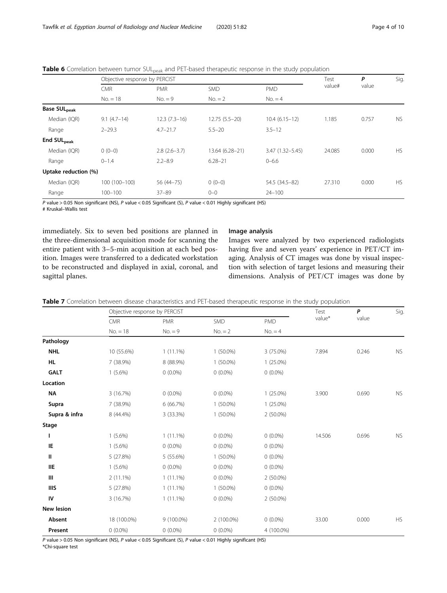|                                 | Objective response by PERCIST |                |                 |                     | Test   | P     | Sig.      |
|---------------------------------|-------------------------------|----------------|-----------------|---------------------|--------|-------|-----------|
|                                 | <b>CMR</b>                    | <b>PMR</b>     | SMD             | <b>PMD</b>          | value# | value |           |
|                                 | $No. = 18$                    | $No. = 9$      | $No. = 2$       | $No. = 4$           |        |       |           |
| <b>Base SUL</b> <sub>peak</sub> |                               |                |                 |                     |        |       |           |
| Median (IQR)                    | $9.1(4.7-14)$                 | $12.3(7.3-16)$ | $12.75(5.5-20)$ | $10.4(6.15-12)$     | 1.185  | 0.757 | <b>NS</b> |
| Range                           | $2 - 29.3$                    | $4.7 - 21.7$   | $5.5 - 20$      | $3.5 - 12$          |        |       |           |
| End SUL <sub>peak</sub>         |                               |                |                 |                     |        |       |           |
| Median (IQR)                    | $0(0-0)$                      | $2.8(2.6-3.7)$ | 13.64 (6.28-21) | $3.47(1.32 - 5.45)$ | 24.085 | 0.000 | <b>HS</b> |
| Range                           | $0 - 1.4$                     | $2.2 - 8.9$    | $6.28 - 21$     | $0 - 6.6$           |        |       |           |
| Uptake reduction (%)            |                               |                |                 |                     |        |       |           |
| Median (IQR)                    | 100 (100-100)                 | 56 (44 - 75)   | $0(0-0)$        | 54.5 (34.5-82)      | 27.310 | 0.000 | <b>HS</b> |
| Range                           | $100 - 100$                   | $37 - 89$      | $0 - 0$         | $24 - 100$          |        |       |           |

<span id="page-3-0"></span>Table 6 Correlation between tumor SUL<sub>peak</sub> and PET-based therapeutic response in the study population

P value > 0.05 Non significant (NS), P value < 0.05 Significant (S), P value < 0.01 Highly significant (HS)

# Kruskal–Wallis test

immediately. Six to seven bed positions are planned in the three-dimensional acquisition mode for scanning the entire patient with 3–5-min acquisition at each bed position. Images were transferred to a dedicated workstation to be reconstructed and displayed in axial, coronal, and sagittal planes.

# Image analysis

Images were analyzed by two experienced radiologists having five and seven years' experience in PET/CT imaging. Analysis of CT images was done by visual inspection with selection of target lesions and measuring their dimensions. Analysis of PET/CT images was done by

|  |  |  |  | Table 7 Correlation between disease characteristics and PET-based therapeutic response in the study population |  |  |  |  |  |  |
|--|--|--|--|----------------------------------------------------------------------------------------------------------------|--|--|--|--|--|--|
|--|--|--|--|----------------------------------------------------------------------------------------------------------------|--|--|--|--|--|--|

|               | Objective response by PERCIST |             |             |             | Test     | P     | Sig.       |
|---------------|-------------------------------|-------------|-------------|-------------|----------|-------|------------|
|               | <b>CMR</b>                    | <b>PMR</b>  | SMD         | <b>PMD</b>  | $value*$ | value |            |
|               | $No. = 18$                    | $No. = 9$   | $No. = 2$   | $No. = 4$   |          |       |            |
| Pathology     |                               |             |             |             |          |       |            |
| <b>NHL</b>    | 10 (55.6%)                    | $1(11.1\%)$ | $1(50.0\%)$ | 3 (75.0%)   | 7.894    | 0.246 | ${\sf NS}$ |
| HL.           | 7 (38.9%)                     | 8 (88.9%)   | $1(50.0\%)$ | $1(25.0\%)$ |          |       |            |
| <b>GALT</b>   | $1(5.6\%)$                    | $0(0.0\%)$  | $0(0.0\%)$  | $0(0.0\%)$  |          |       |            |
| Location      |                               |             |             |             |          |       |            |
| <b>NA</b>     | 3 (16.7%)                     | $0(0.0\%)$  | $0(0.0\%)$  | $1(25.0\%)$ | 3.900    | 0.690 | ${\sf NS}$ |
| Supra         | 7 (38.9%)                     | 6(66.7%)    | $1(50.0\%)$ | $1(25.0\%)$ |          |       |            |
| Supra & infra | 8 (44.4%)                     | 3 (33.3%)   | $1(50.0\%)$ | $2(50.0\%)$ |          |       |            |
| Stage         |                               |             |             |             |          |       |            |
|               | $1(5.6\%)$                    | $1(11.1\%)$ | $0(0.0\%)$  | $0(0.0\%)$  | 14.506   | 0.696 | <b>NS</b>  |
| IE            | $1(5.6\%)$                    | $0(0.0\%)$  | $0(0.0\%)$  | $0(0.0\%)$  |          |       |            |
| Ш             | 5 (27.8%)                     | 5 (55.6%)   | $1(50.0\%)$ | $0(0.0\%)$  |          |       |            |
| <b>IIE</b>    | $1(5.6\%)$                    | $0(0.0\%)$  | $0(0.0\%)$  | $0(0.0\%)$  |          |       |            |
| Ш             | $2(11.1\%)$                   | $1(11.1\%)$ | $0(0.0\%)$  | $2(50.0\%)$ |          |       |            |
| <b>IIIS</b>   | 5 (27.8%)                     | $1(11.1\%)$ | $1(50.0\%)$ | $0(0.0\%)$  |          |       |            |
| IV            | 3 (16.7%)                     | $1(11.1\%)$ | $0(0.0\%)$  | $2(50.0\%)$ |          |       |            |
| New lesion    |                               |             |             |             |          |       |            |
| Absent        | 18 (100.0%)                   | 9 (100.0%)  | 2 (100.0%)  | $0(0.0\%)$  | 33.00    | 0.000 | <b>HS</b>  |
| Present       | $0(0.0\%)$                    | $0(0.0\%)$  | $0(0.0\%)$  | 4 (100.0%)  |          |       |            |

P value > 0.05 Non significant (NS), P value < 0.05 Significant (S), P value < 0.01 Highly significant (HS)

\*Chi-square test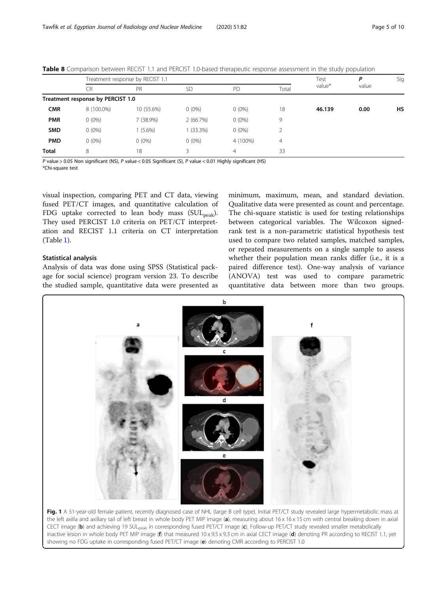|            |                                   |            |             |                |                | .      |       |     |
|------------|-----------------------------------|------------|-------------|----------------|----------------|--------|-------|-----|
|            | Treatment response by RECIST 1.1  |            |             |                |                | Test   | P     | Sig |
|            | CR                                | <b>PR</b>  | <b>SD</b>   | PD             | Total          | value* | value |     |
|            | Treatment response by PERCIST 1.0 |            |             |                |                |        |       |     |
| <b>CMR</b> | 8 (100.0%)                        | 10 (55.6%) | $0(0\%)$    | $0(0\%)$       | 18             | 46.139 | 0.00  | HS  |
| <b>PMR</b> | $0(0\%)$                          | $(38.9\%)$ | 2(66.7%)    | $0(0\%)$       | 9              |        |       |     |
| <b>SMD</b> | $0(0\%)$                          | $(5.6\%)$  | $1(33.3\%)$ | $0(0\%)$       |                |        |       |     |
| <b>PMD</b> | $0(0\%)$                          | $0(0\%)$   | $0(0\%)$    | 4 (100%)       | $\overline{4}$ |        |       |     |
| Total      | 8                                 | 18         | 3.          | $\overline{4}$ | 33             |        |       |     |
|            |                                   |            |             |                |                |        |       |     |

<span id="page-4-0"></span>Table 8 Comparison between RECIST 1.1 and PERCIST 1.0-based therapeutic response assessment in the study population

P value > 0.05 Non significant (NS), P value < 0.05 Significant (S), P value < 0.01 Highly significant (HS)

\*Chi-square test

visual inspection, comparing PET and CT data, viewing fused PET/CT images, and quantitative calculation of FDG uptake corrected to lean body mass  $(SUL<sub>peak</sub>)$ . They used PERCIST 1.0 criteria on PET/CT interpretation and RECIST 1.1 criteria on CT interpretation (Table [1\)](#page-1-0).

# Statistical analysis

Analysis of data was done using SPSS (Statistical package for social science) program version 23. To describe the studied sample, quantitative data were presented as

minimum, maximum, mean, and standard deviation. Qualitative data were presented as count and percentage. The chi-square statistic is used for testing relationships between categorical variables. The Wilcoxon signedrank test is a non-parametric statistical hypothesis test used to compare two related samples, matched samples, or repeated measurements on a single sample to assess whether their population mean ranks differ (i.e., it is a paired difference test). One-way analysis of variance (ANOVA) test was used to compare parametric quantitative data between more than two groups.



Fig. 1 A 51-year-old female patient, recently diagnosed case of NHL (large B cell type). Initial PET/CT study revealed large hypermetabolic mass at the left axilla and axillary tail of left breast in whole body PET MIP image (a), measuring about 16 x 16 x 15 cm with central breaking down in axial CECT image (b) and achieving 19 SULpeak in corresponding fused PET/CT image (c). Follow-up PET/CT study revealed smaller metabolically inactive lesion in whole body PET MIP image (f) that measured 10 x 9.5 x 9.3 cm in axial CECT image (d) denoting PR according to RECIST 1.1, yet showing no FDG uptake in corresponding fused PET/CT image (e) denoting CMR according to PERCIST 1.0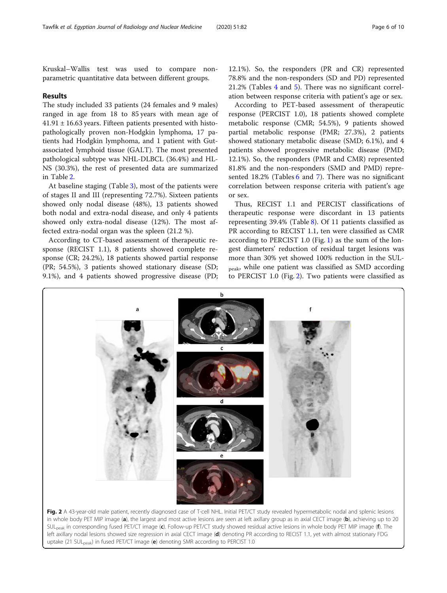Kruskal–Wallis test was used to compare nonparametric quantitative data between different groups.

# Results

The study included 33 patients (24 females and 9 males) ranged in age from 18 to 85 years with mean age of  $41.91 \pm 16.63$  years. Fifteen patients presented with histopathologically proven non-Hodgkin lymphoma, 17 patients had Hodgkin lymphoma, and 1 patient with Gutassociated lymphoid tissue (GALT). The most presented pathological subtype was NHL-DLBCL (36.4%) and HL-NS (30.3%), the rest of presented data are summarized in Table [2](#page-1-0).

At baseline staging (Table [3](#page-1-0)), most of the patients were of stages II and III (representing 72.7%). Sixteen patients showed only nodal disease (48%), 13 patients showed both nodal and extra-nodal disease, and only 4 patients showed only extra-nodal disease (12%). The most affected extra-nodal organ was the spleen (21.2 %).

According to CT-based assessment of therapeutic response (RECIST 1.1), 8 patients showed complete response (CR; 24.2%), 18 patients showed partial response (PR; 54.5%), 3 patients showed stationary disease (SD; 9.1%), and 4 patients showed progressive disease (PD;

12.1%). So, the responders (PR and CR) represented 78.8% and the non-responders (SD and PD) represented 21.2% (Tables [4](#page-2-0) and [5\)](#page-2-0). There was no significant correlation between response criteria with patient's age or sex.

According to PET-based assessment of therapeutic response (PERCIST 1.0), 18 patients showed complete metabolic response (CMR; 54.5%), 9 patients showed partial metabolic response (PMR; 27.3%), 2 patients showed stationary metabolic disease (SMD; 6.1%), and 4 patients showed progressive metabolic disease (PMD; 12.1%). So, the responders (PMR and CMR) represented 81.8% and the non-responders (SMD and PMD) repre-sented 18.2% (Tables [6](#page-3-0) and [7\)](#page-3-0). There was no significant correlation between response criteria with patient's age or sex.

Thus, RECIST 1.1 and PERCIST classifications of therapeutic response were discordant in 13 patients representing 39.4% (Table [8](#page-4-0)). Of 11 patients classified as PR according to RECIST 1.1, ten were classified as CMR according to PERCIST 1.0 (Fig. [1\)](#page-4-0) as the sum of the longest diameters' reduction of residual target lesions was more than 30% yet showed 100% reduction in the SUL-<sub>peak</sub>, while one patient was classified as SMD according to PERCIST 1.0 (Fig. 2). Two patients were classified as

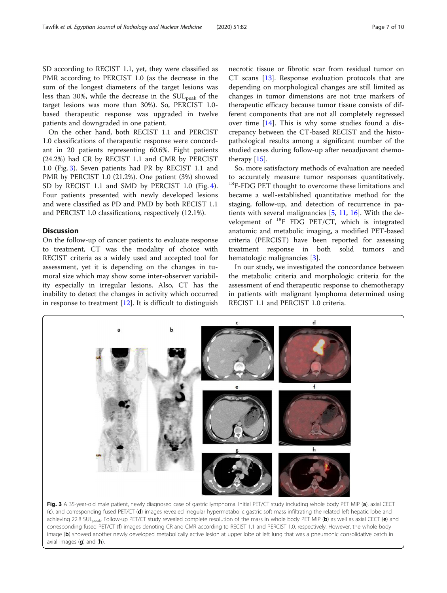SD according to RECIST 1.1, yet, they were classified as PMR according to PERCIST 1.0 (as the decrease in the sum of the longest diameters of the target lesions was less than 30%, while the decrease in the  $SUL_{peak}$  of the target lesions was more than 30%). So, PERCIST 1.0 based therapeutic response was upgraded in twelve patients and downgraded in one patient.

On the other hand, both RECIST 1.1 and PERCIST 1.0 classifications of therapeutic response were concordant in 20 patients representing 60.6%. Eight patients (24.2%) had CR by RECIST 1.1 and CMR by PERCIST 1.0 (Fig. 3). Seven patients had PR by RECIST 1.1 and PMR by PERCIST 1.0 (21.2%). One patient (3%) showed SD by RECIST 1.1 and SMD by PERCIST 1.0 (Fig. [4](#page-7-0)). Four patients presented with newly developed lesions and were classified as PD and PMD by both RECIST 1.1 and PERCIST 1.0 classifications, respectively (12.1%).

# **Discussion**

On the follow-up of cancer patients to evaluate response to treatment, CT was the modality of choice with RECIST criteria as a widely used and accepted tool for assessment, yet it is depending on the changes in tumoral size which may show some inter-observer variability especially in irregular lesions. Also, CT has the inability to detect the changes in activity which occurred in response to treatment  $[12]$  $[12]$ . It is difficult to distinguish necrotic tissue or fibrotic scar from residual tumor on CT scans [[13](#page-8-0)]. Response evaluation protocols that are depending on morphological changes are still limited as changes in tumor dimensions are not true markers of therapeutic efficacy because tumor tissue consists of different components that are not all completely regressed over time [[14\]](#page-8-0). This is why some studies found a discrepancy between the CT-based RECIST and the histopathological results among a significant number of the studied cases during follow-up after neoadjuvant chemotherapy [\[15](#page-8-0)].

So, more satisfactory methods of evaluation are needed to accurately measure tumor responses quantitatively. <sup>18</sup>F-FDG PET thought to overcome these limitations and became a well-established quantitative method for the staging, follow-up, and detection of recurrence in patients with several malignancies [\[5](#page-8-0), [11,](#page-8-0) [16\]](#page-8-0). With the development of  $^{18}$ F FDG PET/CT, which is integrated anatomic and metabolic imaging, a modified PET-based criteria (PERCIST) have been reported for assessing treatment response in both solid tumors and hematologic malignancies [\[3](#page-8-0)].

In our study, we investigated the concordance between the metabolic criteria and morphologic criteria for the assessment of end therapeutic response to chemotherapy in patients with malignant lymphoma determined using RECIST 1.1 and PERCIST 1.0 criteria.



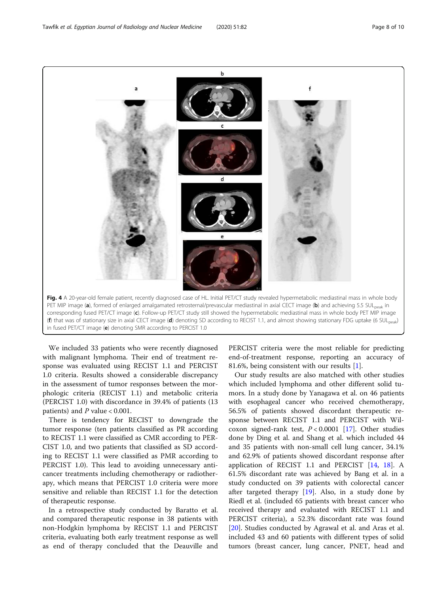<span id="page-7-0"></span>Tawfik et al. Egyptian Journal of Radiology and Nuclear Medicine (2020) 51:82 Page 8 of 10



We included 33 patients who were recently diagnosed with malignant lymphoma. Their end of treatment response was evaluated using RECIST 1.1 and PERCIST 1.0 criteria. Results showed a considerable discrepancy in the assessment of tumor responses between the morphologic criteria (RECIST 1.1) and metabolic criteria (PERCIST 1.0) with discordance in 39.4% of patients (13 patients) and  $P$  value  $< 0.001$ .

There is tendency for RECIST to downgrade the tumor response (ten patients classified as PR according to RECIST 1.1 were classified as CMR according to PER-CIST 1.0, and two patients that classified as SD according to RECIST 1.1 were classified as PMR according to PERCIST 1.0). This lead to avoiding unnecessary anticancer treatments including chemotherapy or radiotherapy, which means that PERCIST 1.0 criteria were more sensitive and reliable than RECIST 1.1 for the detection of therapeutic response.

In a retrospective study conducted by Baratto et al. and compared therapeutic response in 38 patients with non-Hodgkin lymphoma by RECIST 1.1 and PERCIST criteria, evaluating both early treatment response as well as end of therapy concluded that the Deauville and

PERCIST criteria were the most reliable for predicting end-of-treatment response, reporting an accuracy of 81.6%, being consistent with our results [\[1](#page-8-0)].

Our study results are also matched with other studies which included lymphoma and other different solid tumors. In a study done by Yanagawa et al. on 46 patients with esophageal cancer who received chemotherapy, 56.5% of patients showed discordant therapeutic response between RECIST 1.1 and PERCIST with Wilcoxon signed-rank test,  $P < 0.0001$  [\[17](#page-8-0)]. Other studies done by Ding et al. and Shang et al. which included 44 and 35 patients with non-small cell lung cancer, 34.1% and 62.9% of patients showed discordant response after application of RECIST 1.1 and PERCIST [\[14](#page-8-0), [18\]](#page-8-0). A 61.5% discordant rate was achieved by Bang et al. in a study conducted on 39 patients with colorectal cancer after targeted therapy [\[19](#page-9-0)]. Also, in a study done by Riedl et al. (included 65 patients with breast cancer who received therapy and evaluated with RECIST 1.1 and PERCIST criteria), a 52.3% discordant rate was found [[20\]](#page-9-0). Studies conducted by Agrawal et al. and Aras et al. included 43 and 60 patients with different types of solid tumors (breast cancer, lung cancer, PNET, head and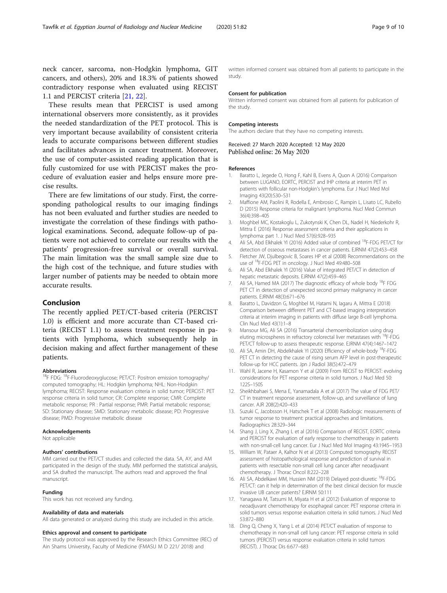<span id="page-8-0"></span>neck cancer, sarcoma, non-Hodgkin lymphoma, GIT cancers, and others), 20% and 18.3% of patients showed contradictory response when evaluated using RECIST 1.1 and PERCIST criteria [[21,](#page-9-0) [22\]](#page-9-0).

These results mean that PERCIST is used among international observers more consistently, as it provides the needed standardization of the PET protocol. This is very important because availability of consistent criteria leads to accurate comparisons between different studies and facilitates advances in cancer treatment. Moreover, the use of computer-assisted reading application that is fully customized for use with PERCIST makes the procedure of evaluation easier and helps ensure more precise results.

There are few limitations of our study. First, the corresponding pathological results to our imaging findings has not been evaluated and further studies are needed to investigate the correlation of these findings with pathological examinations. Second, adequate follow-up of patients were not achieved to correlate our results with the patients' progression-free survival or overall survival. The main limitation was the small sample size due to the high cost of the technique, and future studies with larger number of patients may be needed to obtain more accurate results.

# Conclusion

The recently applied PET/CT-based criteria (PERCIST 1.0) is efficient and more accurate than CT-based criteria (RECIST 1.1) to assess treatment response in patients with lymphoma, which subsequently help in decision making and affect further management of these patients.

# Abbreviations

<sup>18</sup>F FDG: <sup>18</sup>F-Fluorodeoxyglucose; PET/CT: Positron emission tomography/ computed tomography; HL: Hodgkin lymphoma; NHL: Non-Hodgkin lymphoma; RECIST: Response evaluation criteria in solid tumor; PERCIST: PET response criteria in solid tumor; CR: Complete response; CMR: Complete metabolic response; PR : Partial response; PMR: Partial metabolic response; SD: Stationary disease; SMD: Stationary metabolic disease; PD: Progressive disease; PMD: Progressive metabolic disease

#### Acknowledgements

Not applicable

#### Authors' contributions

MM carried out the PET/CT studies and collected the data. SA, AY, and AM participated in the design of the study. MM performed the statistical analysis, and SA drafted the manuscript. The authors read and approved the final manuscript.

# Funding

This work has not received any funding.

#### Availability of data and materials

All data generated or analyzed during this study are included in this article.

#### Ethics approval and consent to participate

The study protocol was approved by the Research Ethics Committee (REC) of Ain Shams University, Faculty of Medicine (FMASU M D 221/ 2018) and

written informed consent was obtained from all patients to participate in the study.

#### Consent for publication

Written informed consent was obtained from all patients for publication of the study.

## Competing interests

The authors declare that they have no competing interests.

Received: 27 March 2020 Accepted: 12 May 2020 Published online: 26 May 2020

### References

- 1. Baratto L, Jegede O, Hong F, Kahl B, Evens A, Quon A (2016) Comparison between LUGANO, EORTC, PERCIST and IHP criteria at interim PET in patients with follicular non-Hodgkin's lymphoma. Eur J Nucl Med Mol Imaging 43(20):S30–S31
- 2. Maffione AM, Paolini R, Rodella E, Ambrosio C, Rampin L, Lisato LC, Rubello D (2015) Response criteria for malignant lymphoma. Nucl Med Commun 36(4):398–405
- 3. Moghbel MC, Kostakoglu L, Zukotynski K, Chen DL, Nadel H, Niederkohr R, Mittra E (2016) Response assessment criteria and their applications in lymphoma: part 1. J Nucl Med 57(6):928–935
- 4. Ali SA, Abd Elkhalek YI (2016) Added value of combined <sup>18</sup>F-FDG PET/CT for detection of osseous metastases in cancer patients. EJRNM 47(2):453–458
- Fletcher JW, Djulbegovic B, Soares HP et al (2008) Recommendations on the use of 18F-FDG PET in oncology. J Nucl Med 49:480–508
- 6. Ali SA, Abd Elkhalek YI (2016) Value of integrated PET/CT in detection of hepatic metastatic deposits. EJRNM 47(2):459–465
- 7. Ali SA, Hamed MA (2017) The diagnostic efficacy of whole body <sup>18</sup>F FDG PET CT in detection of unexpected second primary malignancy in cancer patients. EJRNM 48(3):671–676
- 8. Baratto L, Davidzon G, Moghbel M, Hatami N, Iagaru A, Mittra E (2018) Comparison between different PET and CT-based imaging interpretation criteria at interim imaging in patients with diffuse large B-cell lymphoma. Clin Nucl Med 43(1):1–8
- 9. Mansour MG, Ali SA (2016) Transarterial chemoembolization using drug eluting microspheres in refractory colorectal liver metastases with <sup>18</sup>F-FDG PET/CT follow-up to assess therapeutic response. EJRNM 47(4):1467–1472
- 10. Ali SA, Amin DH, Abdelkhalek YI (2020) Efficiency of whole-body <sup>18</sup>F-FDG PET CT in detecting the cause of rising serum AFP level in post-therapeutic follow-up for HCC patients. Jpn J Radiol 38(5):472–479
- 11. Wahl R, Jacene H, Kasamon Y et al (2009) From RECIST to PERCIST: evolving considerations for PET response criteria in solid tumors. J Nucl Med 50: 122S–150S
- 12. Sheikhbahaei S, Mena E, Yanamadala A et al (2017) The value of FDG PET/ CT in treatment response assessment, follow-up, and surveillance of lung cancer. AJR 208(2):420–433
- 13. Suzuki C, Jacobsson H, Hatschek T et al (2008) Radiologic measurements of tumor response to treatment: practical approaches and limitations. Radiographics 28:329–344
- 14. Shang J, Ling X, Zhang L et al (2016) Comparison of RECIST, EORTC criteria and PERCIST for evaluation of early response to chemotherapy in patients with non-small-cell lung cancer. Eur J Nucl Med Mol Imaging 43:1945–1953
- 15. William W, Pataer A, Kalhor N et al (2013) Computed tomography RECIST assessment of histopathological response and prediction of survival in patients with resectable non-small cell lung cancer after neoadjuvant chemotherapy. J Thorac Oncol 8:222–228
- 16. Ali SA, Abdelkawi MM, Hussien NM (2019) Delayed post-diuretic <sup>18</sup>F-FDG PET/CT: can it help in determination of the best clinical decision for muscle invasive UB cancer patients? EJRNM 50:111
- 17. Yanagawa M, Tatsumi M, Miyata H et al (2012) Evaluation of response to neoadjuvant chemotherapy for esophageal cancer: PET response criteria in solid tumors versus response evaluation criteria in solid tumors. J Nucl Med 53:872–880
- 18. Ding Q, Cheng X, Yang L et al (2014) PET/CT evaluation of response to chemotherapy in non-small cell lung cancer: PET response criteria in solid tumors (PERCIST) versus response evaluation criteria in solid tumors (RECIST). J Thorac Dis 6:677–683